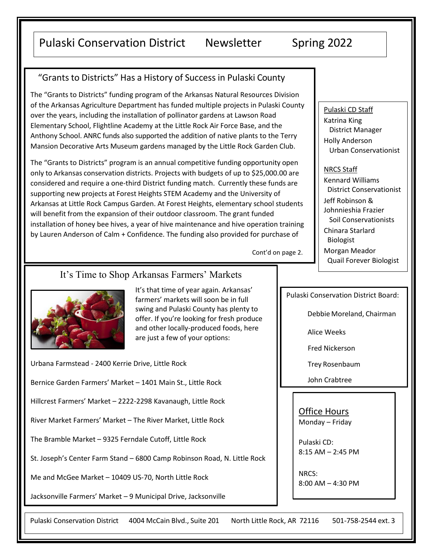# Pulaski Conservation District Newsletter Spring 2022

## "Grants to Districts" Has a History of Success in Pulaski County

The "Grants to Districts" funding program of the Arkansas Natural Resources Division of the Arkansas Agriculture Department has funded multiple projects in Pulaski County over the years, including the installation of pollinator gardens at Lawson Road Elementary School, Flightline Academy at the Little Rock Air Force Base, and the Anthony School. ANRC funds also supported the addition of native plants to the Terry Mansion Decorative Arts Museum gardens managed by the Little Rock Garden Club.

The "Grants to Districts" program is an annual competitive funding opportunity open only to Arkansas conservation districts. Projects with budgets of up to \$25,000.00 are considered and require a one-third District funding match. Currently these funds are supporting new projects at Forest Heights STEM Academy and the University of Arkansas at Little Rock Campus Garden. At Forest Heights, elementary school students will benefit from the expansion of their outdoor classroom. The grant funded installation of honey bee hives, a year of hive maintenance and hive operation training by Lauren Anderson of Calm + Confidence. The funding also provided for purchase of

Cont'd on page 2.

### It's Time to Shop Arkansas Farmers' Markets



It's that time of year again. Arkansas' farmers' markets will soon be in full swing and Pulaski County has plenty to offer. If you're looking for fresh produce and other locally-produced foods, here are just a few of your options:

Urbana Farmstead - 2400 Kerrie Drive, Little Rock

Bernice Garden Farmers' Market – 1401 Main St., Little Rock

Hillcrest Farmers' Market – 2222-2298 Kavanaugh, Little Rock

River Market Farmers' Market – The River Market, Little Rock

The Bramble Market – 9325 Ferndale Cutoff, Little Rock

St. Joseph's Center Farm Stand – 6800 Camp Robinson Road, N. Little Rock

Me and McGee Market – 10409 US-70, North Little Rock

Jacksonville Farmers' Market – 9 Municipal Drive, Jacksonville

Pulaski Conservation District 4004 McCain Blvd., Suite 201 North Little Rock, AR 72116 501-758-2544 ext. 3

Pulaski CD Staff Katrina King District Manager Holly Anderson Urban Conservationist

#### NRCS Staff

Kennard Williams District Conservationist Jeff Robinson & Johnnieshia Frazier Soil Conservationists Chinara Starlard Biologist Morgan Meador Quail Forever Biologist

Pulaski Conservation District Board:

Debbie Moreland, Chairman

Alice Weeks

Fred Nickerson

Trey Rosenbaum

John Crabtree

Office Hours Monday – Friday

Pulaski CD: 8:15 AM – 2:45 PM

NRCS: 8:00 AM – 4:30 PM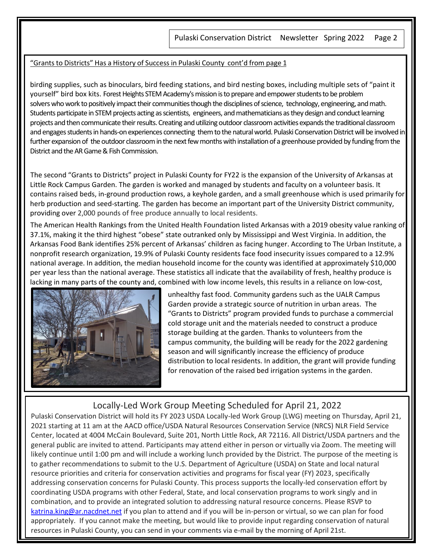#### "Grants to Districts" Has a History of Success in Pulaski County cont'd from page 1

birding supplies, such as binoculars, bird feeding stations, and bird nesting boxes, including multiple sets of "paint it yourself" bird box kits. Forest Heights STEM Academy's mission is to prepare and empower students to be problem solvers who work to positively impact their communities though the disciplines of science, technology, engineering, and math. Students participate in STEM projects acting as scientists, engineers, and mathematicians as they design and conduct learning projects and then communicate their results. Creating and utilizing outdoor classroom activities expands the traditional classroom and engages students in hands-on experiences connecting them to the natural world. Pulaski Conservation District will be involved in further expansion of the outdoor classroom in the next few months with installation of a greenhouse provided by funding from the District and the AR Game & Fish Commission.

The second "Grants to Districts" project in Pulaski County for FY22 is the expansion of the University of Arkansas at Little Rock Campus Garden. The garden is worked and managed by students and faculty on a volunteer basis. It contains raised beds, in-ground production rows, a keyhole garden, and a small greenhouse which is used primarily for herb production and seed-starting. The garden has become an important part of the University District community, providing over 2,000 pounds of free produce annually to local residents.

The American Health Rankings from the United Health Foundation listed Arkansas with a 2019 obesity value ranking of 37.1%, making it the third highest "obese" state outranked only by Mississippi and West Virginia. In addition, the Arkansas Food Bank identifies 25% percent of Arkansas' children as facing hunger. According to The Urban Institute, a nonprofit research organization, 19.9% of Pulaski County residents face food insecurity issues compared to a 12.9% national average. In addition, the median household income for the county was identified at approximately \$10,000 per year less than the national average. These statistics all indicate that the availability of fresh, healthy produce is lacking in many parts of the county and, combined with low income levels, this results in a reliance on low-cost,



unhealthy fast food. Community gardens such as the UALR Campus Garden provide a strategic source of nutrition in urban areas. The "Grants to Districts" program provided funds to purchase a commercial cold storage unit and the materials needed to construct a produce storage building at the garden. Thanks to volunteers from the campus community, the building will be ready for the 2022 gardening season and will significantly increase the efficiency of produce distribution to local residents. In addition, the grant will provide funding for renovation of the raised bed irrigation systems in the garden.

## Locally-Led Work Group Meeting Scheduled for April 21, 2022

Pulaski Conservation District will hold its FY 2023 USDA Locally-led Work Group (LWG) meeting on Thursday, April 21, 2021 starting at 11 am at the AACD office/USDA Natural Resources Conservation Service (NRCS) NLR Field Service Center, located at 4004 McCain Boulevard, Suite 201, North Little Rock, AR 72116. All District/USDA partners and the general public are invited to attend. Participants may attend either in person or virtually via Zoom. The meeting will likely continue until 1:00 pm and will include a working lunch provided by the District. The purpose of the meeting is to gather recommendations to submit to the U.S. Department of Agriculture (USDA) on State and local natural resource priorities and criteria for conservation activities and programs for fiscal year (FY) 2023, specifically addressing conservation concerns for Pulaski County. This process supports the locally-led conservation effort by coordinating USDA programs with other Federal, State, and local conservation programs to work singly and in combination, and to provide an integrated solution to addressing natural resource concerns. Please RSVP to [katrina.king@ar.nacdnet.net](mailto:katrina.king@ar.nacdnet.net) if you plan to attend and if you will be in-person or virtual, so we can plan for food appropriately. If you cannot make the meeting, but would like to provide input regarding conservation of natural resources in Pulaski County, you can send in your comments via e-mail by the morning of April 21st.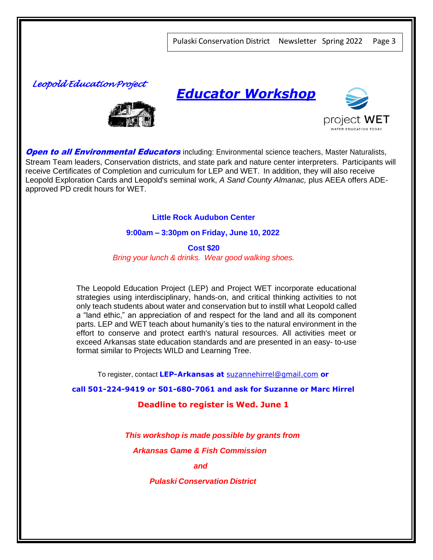*Leopold Education Project* 







**Open to all Environmental Educators** including: Environmental science teachers, Master Naturalists, Stream Team leaders, Conservation districts, and state park and nature center interpreters. Participants will receive Certificates of Completion and curriculum for LEP and WET. In addition, they will also receive Leopold Exploration Cards and Leopold's seminal work, *A Sand County Almanac,* plus AEEA offers ADEapproved PD credit hours for WET.

**Little Rock Audubon Center** 

**9:00am – 3:30pm on Friday, June 10, 2022**

**Cost \$20** *Bring your lunch & drinks. Wear good walking shoes.*

The Leopold Education Project (LEP) and Project WET incorporate educational strategies using interdisciplinary, hands-on, and critical thinking activities to not only teach students about water and conservation but to instill what Leopold called a "land ethic," an appreciation of and respect for the land and all its component parts. LEP and WET teach about humanity's ties to the natural environment in the effort to conserve and protect earth's natural resources. All activities meet or exceed Arkansas state education standards and are presented in an easy- to-use format similar to Projects WILD and Learning Tree.

To register, contact **LEP-Arkansas at** [suzannehirrel@gmail.com](mailto:suzannehirrel@gmail.com) **or**

**call 501-224-9419 or 501-680-7061 and ask for Suzanne or Marc Hirrel**

**Deadline to register is Wed. June 1**

*This workshop is made possible by grants from* 

*Arkansas Game & Fish Commission*

 *and and and and and and* 

*Pulaski Conservation District*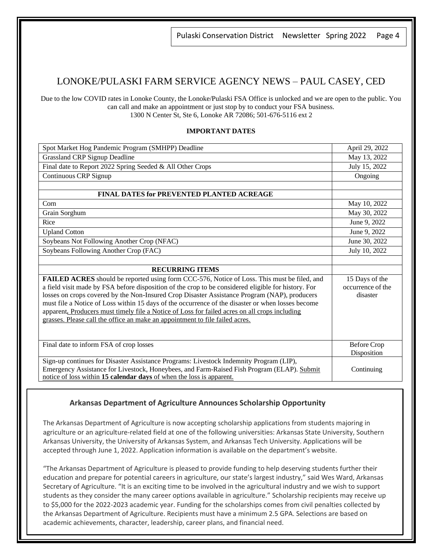Pulaski Conservation District Newsletter Spring 2022 Page 4

### LONOKE/PULASKI FARM SERVICE AGENCY NEWS – PAUL CASEY, CED

Due to the low COVID rates in Lonoke County, the Lonoke/Pulaski FSA Office is unlocked and we are open to the public. You can call and make an appointment or just stop by to conduct your FSA business. 1300 N Center St, Ste 6, Lonoke AR 72086; 501-676-5116 ext 2

#### **IMPORTANT DATES**

| Spot Market Hog Pandemic Program (SMHPP) Deadline                                                                                                                  | April 29, 2022     |
|--------------------------------------------------------------------------------------------------------------------------------------------------------------------|--------------------|
| Grassland CRP Signup Deadline                                                                                                                                      | May 13, 2022       |
| Final date to Report 2022 Spring Seeded & All Other Crops                                                                                                          | July 15, 2022      |
| Continuous CRP Signup                                                                                                                                              | Ongoing            |
|                                                                                                                                                                    |                    |
| <b>FINAL DATES for PREVENTED PLANTED ACREAGE</b>                                                                                                                   |                    |
| Corn                                                                                                                                                               | May 10, 2022       |
| Grain Sorghum                                                                                                                                                      | May 30, 2022       |
| Rice                                                                                                                                                               | June 9, 2022       |
| <b>Upland Cotton</b>                                                                                                                                               | June 9, 2022       |
| Soybeans Not Following Another Crop (NFAC)                                                                                                                         | June 30, 2022      |
| Soybeans Following Another Crop (FAC)                                                                                                                              | July 10, 2022      |
|                                                                                                                                                                    |                    |
| <b>RECURRING ITEMS</b>                                                                                                                                             |                    |
| <b>FAILED ACRES</b> should be reported using form CCC-576, Notice of Loss. This must be filed, and                                                                 | 15 Days of the     |
| a field visit made by FSA before disposition of the crop to be considered eligible for history. For                                                                | occurrence of the  |
| losses on crops covered by the Non-Insured Crop Disaster Assistance Program (NAP), producers                                                                       | disaster           |
| must file a Notice of Loss within 15 days of the occurrence of the disaster or when losses become                                                                  |                    |
| apparent. Producers must timely file a Notice of Loss for failed acres on all crops including                                                                      |                    |
| grasses. Please call the office an make an appointment to file failed acres.                                                                                       |                    |
|                                                                                                                                                                    |                    |
| Final date to inform FSA of crop losses                                                                                                                            | <b>Before Crop</b> |
|                                                                                                                                                                    | Disposition        |
| Sign-up continues for Disaster Assistance Programs: Livestock Indemnity Program (LIP),                                                                             |                    |
| Emergency Assistance for Livestock, Honeybees, and Farm-Raised Fish Program (ELAP). Submit<br>notice of loss within 15 calendar days of when the loss is apparent. | Continuing         |

#### **Arkansas Department of Agriculture Announces Scholarship Opportunity**

The Arkansas Department of Agriculture is now accepting scholarship applications from students majoring in agriculture or an agriculture-related field at one of the following universities: Arkansas State University, Southern Arkansas University, the University of Arkansas System, and Arkansas Tech University. Applications will be accepted through June 1, 2022. Application information is available on the department's website.

"The Arkansas Department of Agriculture is pleased to provide funding to help deserving students further their education and prepare for potential careers in agriculture, our state's largest industry," said Wes Ward, Arkansas Secretary of Agriculture. "It is an exciting time to be involved in the agricultural industry and we wish to support students as they consider the many career options available in agriculture." Scholarship recipients may receive up to \$5,000 for the 2022-2023 academic year. Funding for the scholarships comes from civil penalties collected by the Arkansas Department of Agriculture. Recipients must have a minimum 2.5 GPA. Selections are based on academic achievements, character, leadership, career plans, and financial need.